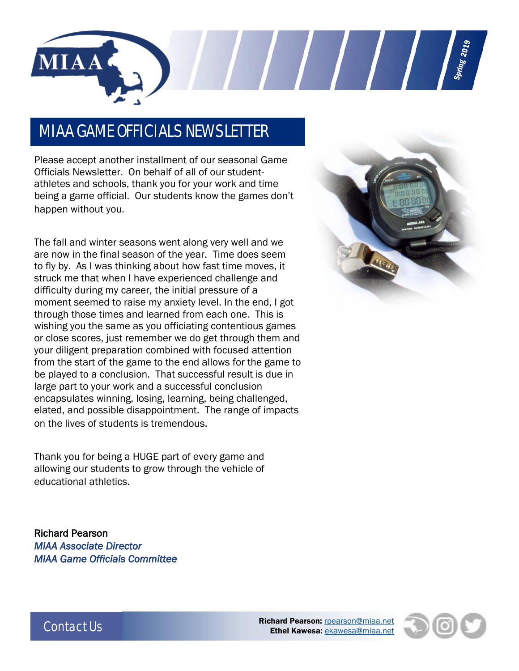

#### MIAA GAME OFFICIALS NEWSLETTER

Please accept another installment of our seasonal Game Officials Newsletter. On behalf of all of our studentathletes and schools, thank you for your work and time being a game official. Our students know the games don't happen without you.

The fall and winter seasons went along very well and we are now in the final season of the year. Time does seem to fly by. As I was thinking about how fast time moves, it struck me that when I have experienced challenge and difficulty during my career, the initial pressure of a moment seemed to raise my anxiety level. In the end, I got through those times and learned from each one. This is wishing you the same as you officiating contentious games or close scores, just remember we do get through them and your diligent preparation combined with focused attention from the start of the game to the end allows for the game to be played to a conclusion. That successful result is due in large part to your work and a successful conclusion encapsulates winning, losing, learning, being challenged, elated, and possible disappointment. The range of impacts on the lives of students is tremendous.

Thank you for being a HUGE part of every game and allowing our students to grow through the vehicle of educational athletics.

Richard Pearson *MIAA Associate Director MIAA Game Officials Committee* 





Contact Us **Richard Pearson:** [rpearson@miaa.net](mailto:rpearson@miaa.net) Ethel Kawesa: [ekawesa@miaa.net](mailto:ekawesa@miaa.net)

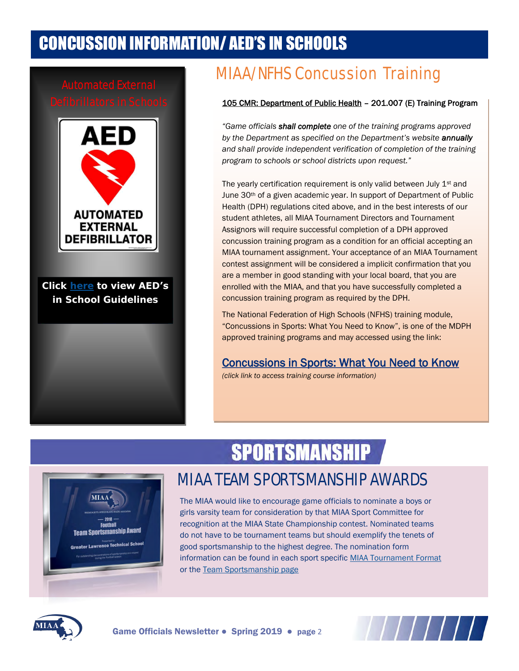### CONCUSSION INFORMATION/ AED'S IN SCHOOLS



Click [here to](http://www.miaa.net/contentm/easy_pages/view.php?sid=38&page_id=283) view AED's in **Click here to view AED's**  School Guidelines **in School Guidelin[e](http://www.miaa.net/contentm/easy_pages/view.php?sid=38&page_id=283)s**

### MIAA/NFHS Concussion Training

#### 105 CMR: Department of Public Health – 201.007 (E) Training Program

*"Game officials shall complete one of the training programs approved by the Department as specified on the Department's website annually and shall provide independent verification of completion of the training program to schools or school districts upon request."*

The yearly certification requirement is only valid between July 1<sup>st</sup> and June 30th of a given academic year. In support of Department of Public Health (DPH) regulations cited above, and in the best interests of our student athletes, all MIAA Tournament Directors and Tournament Assignors will require successful completion of a DPH approved concussion training program as a condition for an official accepting an MIAA tournament assignment. Your acceptance of an MIAA Tournament contest assignment will be considered a implicit confirmation that you are a member in good standing with your local board, that you are enrolled with the MIAA, and that you have successfully completed a concussion training program as required by the DPH.

The National Federation of High Schools (NFHS) training module, "Concussions in Sports: What You Need to Know", is one of the MDPH approved training programs and may accessed using the link:

#### [Concussions in Sports: What You Need to Know](https://nfhslearn.com/courses/61151/concussion-in-sports)

*(click link to access training course information)*

## **SPORTSMANSHIP**



#### MIAA TEAM SPORTSMANSHIP AWARDS

The MIAA would like to encourage game officials to nominate a boys or girls varsity team for consideration by that MIAA Sport Committee for recognition at the MIAA State Championship contest. Nominated teams do not have to be tournament teams but should exemplify the tenets of good sportsmanship to the highest degree. The nomination form information can be found in each sport specific [MIAA Tournament Format](http://www.miaa.net/contentm/easy_pages/view.php?page_id=22&sid=38&menu_id=207) or the [Team Sportsmanship page](http://miaa.net/contentm/easy_pages/view.php?sid=38&page_id=24)



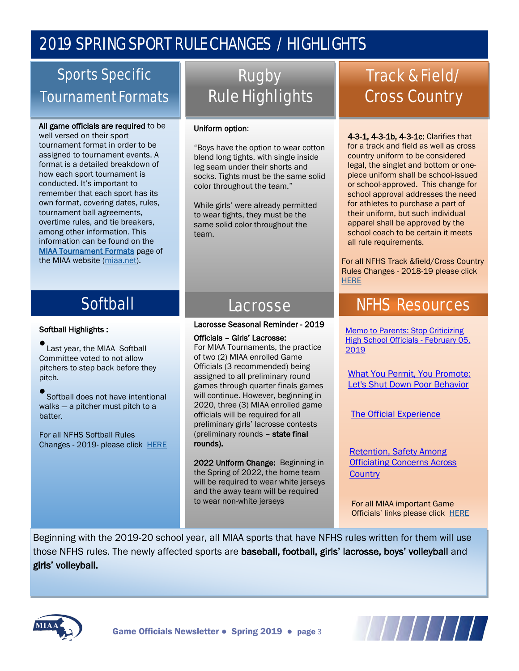#### 2019 SPRING SPORT RULE CHANGES / HIGHLIGHTS

### Sports Specific Tournament Formats

#### All game officials are required to be

well versed on their sport tournament format in order to be assigned to tournament events. A format is a detailed breakdown of how each sport tournament is conducted. It's important to remember that each sport has its own format, covering dates, rules, tournament ball agreements, overtime rules, and tie breakers, among other information. This information can be found on the [MIAA Tournament Formats](http://www.miaa.net/contentm/easy_pages/view.php?sid=38&page_id=22) page of the MIAA website ([miaa.net\).](http://www.miaa.net/miaa/home?sid=38)

### **Softball**

#### Softball Highlights :

Last year, the MIAA Softball Committee voted to not allow pitchers to step back before they pitch.

Softball does not have intentional walks — a pitcher must pitch to a batter.

For all NFHS Softball Rules Changes - 2019- please click [HERE](http://www.nfhs.org/sports-resource-content/softball-rules-changes-2019/)

### Rugby Rule Highlights

#### Uniform option:

"Boys have the option to wear cotton blend long tights, with single inside leg seam under their shorts and socks. Tights must be the same solid color throughout the team."

While girls' were already permitted to wear tights, they must be the same solid color throughout the team.

#### Lacrosse

#### Lacrosse Seasonal Reminder - 2019

Officials – Girls' Lacrosse: For MIAA Tournaments, the practice of two (2) MIAA enrolled Game Officials (3 recommended) being assigned to all preliminary round games through quarter finals games will continue. However, beginning in 2020, three (3) MIAA enrolled game officials will be required for all preliminary girls' lacrosse contests (preliminary rounds – state final rounds).

2022 Uniform Change: Beginning in the Spring of 2022, the home team will be required to wear white jerseys and the away team will be required to wear non-white jerseys

### Track & Field/ Cross Country

i

4-3-1, 4-3-1b, 4-3-1c: Clarifies that for a track and field as well as cross country uniform to be considered legal, the singlet and bottom or onepiece uniform shall be school-issued or school-approved. This change for school approval addresses the need for athletes to purchase a part of their uniform, but such individual apparel shall be approved by the school coach to be certain it meets all rule requirements.

For all NFHS Track &field/Cross Country Rules Changes - 2018-19 please click **[HERE](https://www.nfhs.org/sports-resource-content/track-field-and-cross-country-rules-changes-2019/)** 

#### NFHS Resources

[Memo to Parents: Stop Criticizing](http://www.nfhs.org/articles/memo-to-parents-stop-criticizing-high-school-officials/)  [High School Officials - February 05,](http://www.nfhs.org/articles/memo-to-parents-stop-criticizing-high-school-officials/)  [2019](http://www.nfhs.org/articles/memo-to-parents-stop-criticizing-high-school-officials/)

[What You Permit, You Promote:](http://www.nfhs.org/articles/what-you-permit-you-promote-lets-shut-down-poor-behavior/)  [Let's Shut Down Poor Behavior](http://www.nfhs.org/articles/what-you-permit-you-promote-lets-shut-down-poor-behavior/)

**[The Official Experience](https://www.linkedin.com/pulse/official-experience-marco-buchmayer?trk=v-feed&lipi=urn%3Ali%3Apage%3Ad_flagship3_feed%3BQOkCrfbmfx4TNbNFikn7Ow%3D%3D)** 

[Retention, Safety Among](http://www.nfhs.org/articles/retention-safety-among-officiating-concerns-across-country/)  **Officiating Concerns Across [Country](http://www.nfhs.org/articles/retention-safety-among-officiating-concerns-across-country/)** 

For all MIAA important Game Officials' links please click [HERE](http://www.miaa.net/contentm/easy_pages/view.php?page_id=73&sid=38&menu_id=185)

Beginning with the 2019-20 school year, all MIAA sports that have NFHS rules written for them will use those NFHS rules. The newly affected sports are baseball, football, girls' lacrosse, boys' volleyball and girls' volleyball.



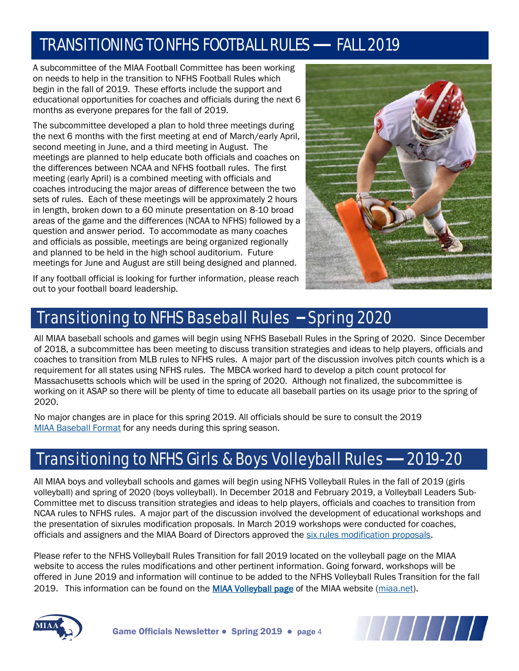### TRANSITIONING TO NFHS FOOTBALL RULES — FALL 2019

A subcommittee of the MIAA Football Committee has been working on needs to help in the transition to NFHS Football Rules which begin in the fall of 2019. These efforts include the support and educational opportunities for coaches and officials during the next 6 months as everyone prepares for the fall of 2019.

The subcommittee developed a plan to hold three meetings during the next 6 months with the first meeting at end of March/early April, second meeting in June, and a third meeting in August. The meetings are planned to help educate both officials and coaches on the differences between NCAA and NFHS football rules. The first meeting (early April) is a combined meeting with officials and coaches introducing the major areas of difference between the two sets of rules. Each of these meetings will be approximately 2 hours in length, broken down to a 60 minute presentation on 8-10 broad areas of the game and the differences (NCAA to NFHS) followed by a question and answer period. To accommodate as many coaches and officials as possible, meetings are being organized regionally and planned to be held in the high school auditorium. Future meetings for June and August are still being designed and planned.



If any football official is looking for further information, please reach out to your football board leadership.

#### Transitioning to NFHS Baseball Rules – Spring 2020

All MIAA baseball schools and games will begin using NFHS Baseball Rules in the Spring of 2020. Since December of 2018, a subcommittee has been meeting to discuss transition strategies and ideas to help players, officials and coaches to transition from MLB rules to NFHS rules. A major part of the discussion involves pitch counts which is a requirement for all states using NFHS rules. The MBCA worked hard to develop a pitch count protocol for Massachusetts schools which will be used in the spring of 2020. Although not finalized, the subcommittee is working on it ASAP so there will be plenty of time to educate all baseball parties on its usage prior to the spring of 2020.

No major changes are in place for this spring 2019. All officials should be sure to consult the 2019 [MIAA Baseball Format](http://www.miaa.net/gen/miaa_generated_bin/documents/basic_module/Baseball_201819_Format.pdf) for any needs during this spring season.

#### Transitioning to NFHS Girls & Boys Volleyball Rules — 2019-20

All MIAA boys and volleyball schools and games will begin using NFHS Volleyball Rules in the fall of 2019 (girls volleyball) and spring of 2020 (boys volleyball). In December 2018 and February 2019, a Volleyball Leaders Sub-Committee met to discuss transition strategies and ideas to help players, officials and coaches to transition from NCAA rules to NFHS rules. A major part of the discussion involved the development of educational workshops and the presentation of sixrules modification proposals. In March 2019 workshops were conducted for coaches, officials and assigners and the MIAA Board of Directors approved the [six rules modification proposals.](http://www.miaa.net/gen/miaa_generated_bin/documents/basic_module/MIAA_Volleyball_Transition_and_NFHS_Rules_Modifications.pdf)

Please refer to the NFHS Volleyball Rules Transition for fall 2019 located on the volleyball page on the MIAA website to access the rules modifications and other pertinent information. Going forward, workshops will be offered in June 2019 and information will continue to be added to the NFHS Volleyball Rules Transition for the fall 2019. This information can be found on the [MIAA Volleyball page](http://www.miaa.net/contentm/easy_pages/view.php?page_id=17&sid=38&menu_id=168) of the MIAA website ([miaa.net\).](http://www.miaa.net/miaa/home?sid=38)



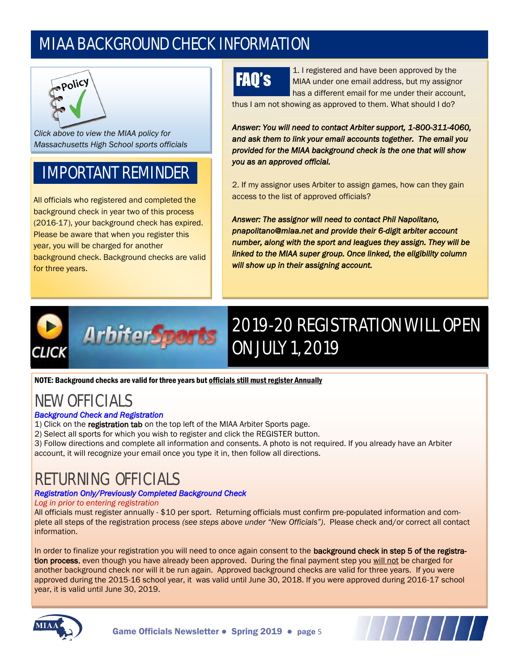### MIAA BACKGROUND CHECK INFORMATION



*Clic[k above to view th](http://www.miaa.net/gen/miaa_generated_bin/documents/basic_module/MIAA_policy_back_check_FINAL_6115.pdf)e MIAA policy for Massachusetts High School sports officials* 

### IMPORTANT REMINDER

All officials who registered and completed the background check in year two of this process (2016-17), your background check has expired. Please be aware that when you register this year, you will be charged for another background check. Background checks are valid for three years.

## FAQ's

1. I registered and have been approved by the MIAA under one email address, but my assignor has a different email for me under their account,

thus I am not showing as approved to them. What should I do?

*Answer: You will need to contact Arbiter support, 1-800-311-4060, and ask them to link your email accounts together. The email you provided for the MIAA background check is the one that will show you as an approved official.* 

2. If my assignor uses Arbiter to assign games, how can they gain access to the list of approved officials?

*Answer: The assignor will need to contact Phil Napolitano, pnapolitano@miaa.net and provide their 6-digit arbiter account number, along with the sport and leagues they assign. They will be linked to the MIAA super group. Once linked, the eligibility column will show up in their assigning account.*

## **ArbiterSports** ELICK

## 2019-20 REGISTRATION WILL OPEN ON JULY 1, 2019

NOTE: Background checks are valid for three years but officials still must register Annually

### NEW OFFICIALS

#### *Background Check and Registration*

- 1) Click on the registration tab on the top left of the MIAA Arbiter Sports page.
- 2) Select all sports for which you wish to register and click the REGISTER button.
- 3) Follow directions and complete all information and consents. A photo is not required. If you already have an Arbiter account, it will recognize your email once you type it in, then follow all directions.

#### RETURNING OFFICIALS

#### *Registration Only/Previously Completed Background Check*

#### *Log in prior to entering registration*

All officials must register annually - \$10 per sport. Returning officials must confirm pre-populated information and complete all steps of the registration process *(see steps above under "New Officials")*. Please check and/or correct all contact information.

In order to finalize your registration you will need to once again consent to the background check in step 5 of the registration process, even though you have already been approved. During the final payment step you will not be charged for another background check nor will it be run again. Approved background checks are valid for three years. If you were approved during the 2015-16 school year, it was valid until June 30, 2018. If you were approved during 2016-17 school year, it is valid until June 30, 2019.